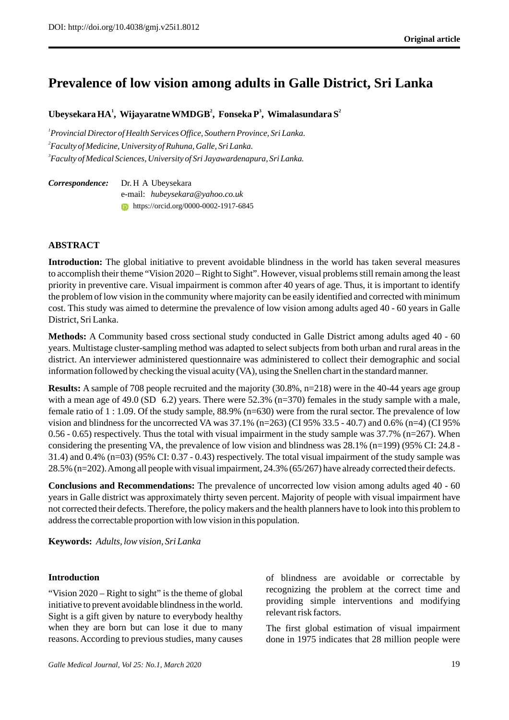# **Prevalence of low vision among adults in Galle District, Sri Lanka**

**<sup>1</sup> <sup>2</sup> <sup>3</sup> <sup>2</sup> Ubeysekara HA , Wijayaratne WMDGB , Fonseka P , Wimalasundara S**

*1 Provincial Director of Health Services Office, Southern Province, Sri Lanka. 2 Faculty of Medicine, University of Ruhuna, Galle, Sri Lanka. 3 Faculty of Medical Sciences, University of Sri Jayawardenapura, Sri Lanka.*

*Correspondence:* Dr. H A Ubeysekara e-mail: *hubeysekara@yahoo.co.uk* **https://orcid.org/0000-0002-1917-6845** 

#### **ABSTRACT**

**Introduction:** The global initiative to prevent avoidable blindness in the world has taken several measures to accomplish their theme "Vision 2020 – Right to Sight". However, visual problems still remain among the least priority in preventive care. Visual impairment is common after 40 years of age. Thus, it is important to identify the problem of low vision in the community where majority can be easily identified and corrected with minimum cost. This study was aimed to determine the prevalence of low vision among adults aged 40 - 60 years in Galle District, Sri Lanka.

**Methods:** A Community based cross sectional study conducted in Galle District among adults aged 40 - 60 years. Multistage cluster-sampling method was adapted to select subjects from both urban and rural areas in the district. An interviewer administered questionnaire was administered to collect their demographic and social information followed by checking the visual acuity (VA), using the Snellen chart in the standard manner.

**Results:** A sample of 708 people recruited and the majority (30.8%, n=218) were in the 40-44 years age group with a mean age of 49.0 (SD 6.2) years. There were  $52.3\%$  (n=370) females in the study sample with a male, female ratio of 1 : 1.09. Of the study sample, 88.9% (n=630) were from the rural sector. The prevalence of low vision and blindness for the uncorrected VA was  $37.1\%$  (n=263) (CI 95% 33.5 - 40.7) and 0.6% (n=4) (CI 95% 0.56 - 0.65) respectively. Thus the total with visual impairment in the study sample was 37.7% (n=267). When considering the presenting VA, the prevalence of low vision and blindness was 28.1% (n=199) (95% CI: 24.8 - 31.4) and 0.4% (n=03) (95% CI: 0.37 - 0.43) respectively. The total visual impairment of the study sample was 28.5% (n=202). Among all people with visual impairment, 24.3% (65/267) have already corrected their defects.

**Conclusions and Recommendations:** The prevalence of uncorrected low vision among adults aged 40 - 60 years in Galle district was approximately thirty seven percent. Majority of people with visual impairment have not corrected their defects. Therefore, the policy makers and the health planners have to look into this problem to address the correctable proportion with low vision in this population.

**Keywords:** *Adults, low vision, Sri Lanka*

#### **Introduction**

"Vision 2020 – Right to sight" is the theme of global initiative to prevent avoidable blindness in the world. Sight is a gift given by nature to everybody healthy when they are born but can lose it due to many reasons. According to previous studies, many causes of blindness are avoidable or correctable by recognizing the problem at the correct time and providing simple interventions and modifying relevant risk factors.

The first global estimation of visual impairment done in 1975 indicates that 28 million people were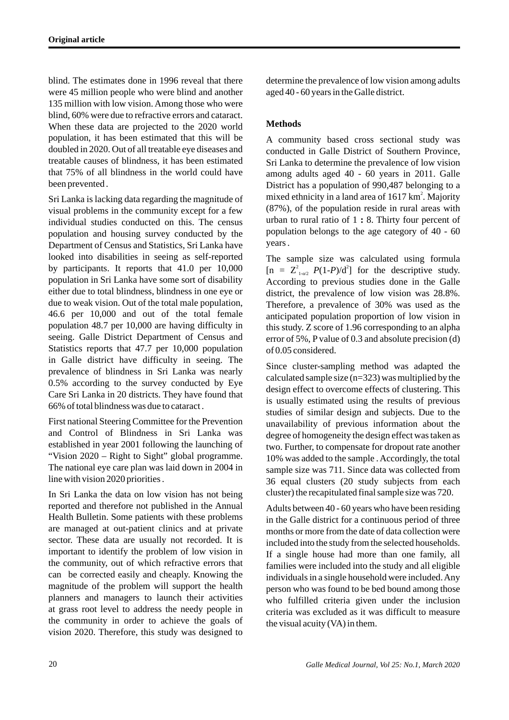blind. The estimates done in 1996 reveal that there were 45 million people who were blind and another 135 million with low vision. Among those who were blind, 60% were due to refractive errors and cataract. When these data are projected to the 2020 world population, it has been estimated that this will be doubled in 2020. Out of all treatable eye diseases and treatable causes of blindness, it has been estimated that 75% of all blindness in the world could have been prevented .

Sri Lanka is lacking data regarding the magnitude of visual problems in the community except for a few individual studies conducted on this. The census population and housing survey conducted by the Department of Census and Statistics, Sri Lanka have looked into disabilities in seeing as self-reported by participants. It reports that 41.0 per 10,000 population in Sri Lanka have some sort of disability either due to total blindness, blindness in one eye or due to weak vision. Out of the total male population, 46.6 per 10,000 and out of the total female population 48.7 per 10,000 are having difficulty in seeing. Galle District Department of Census and Statistics reports that 47.7 per 10,000 population in Galle district have difficulty in seeing. The prevalence of blindness in Sri Lanka was nearly 0.5% according to the survey conducted by Eye Care Sri Lanka in 20 districts. They have found that 66% of total blindness was due to cataract .

First national Steering Committee for the Prevention and Control of Blindness in Sri Lanka was established in year 2001 following the launching of "Vision 2020 – Right to Sight" global programme. The national eye care plan was laid down in 2004 in line with vision 2020 priorities .

In Sri Lanka the data on low vision has not being reported and therefore not published in the Annual Health Bulletin. Some patients with these problems are managed at out-patient clinics and at private sector. These data are usually not recorded. It is important to identify the problem of low vision in the community, out of which refractive errors that can be corrected easily and cheaply. Knowing the magnitude of the problem will support the health planners and managers to launch their activities at grass root level to address the needy people in the community in order to achieve the goals of vision 2020. Therefore, this study was designed to determine the prevalence of low vision among adults aged 40 - 60 years in the Galle district.

# **Methods**

A community based cross sectional study was conducted in Galle District of Southern Province, Sri Lanka to determine the prevalence of low vision among adults aged 40 - 60 years in 2011. Galle District has a population of 990,487 belonging to a mixed ethnicity in a land area of  $1617 \text{ km}^2$ . Majority (87%), of the population reside in rural areas with urban to rural ratio of 1 **:** 8. Thirty four percent of population belongs to the age category of 40 - 60 years .

The sample size was calculated using formula  $[n = Z<sup>2</sup><sub>1+/2</sub> P(1-P)/d<sup>2</sup>]$  for the descriptive study. According to previous studies done in the Galle district, the prevalence of low vision was 28.8%. Therefore, a prevalence of 30% was used as the anticipated population proportion of low vision in this study. Z score of 1.96 corresponding to an alpha error of 5%, P value of 0.3 and absolute precision (d) of 0.05 considered.

Since cluster-sampling method was adapted the calculated sample size (n=323) was multiplied by the design effect to overcome effects of clustering. This is usually estimated using the results of previous studies of similar design and subjects. Due to the unavailability of previous information about the degree of homogeneity the design effect was taken as two. Further, to compensate for dropout rate another 10% was added to the sample . Accordingly, the total sample size was 711. Since data was collected from 36 equal clusters (20 study subjects from each cluster) the recapitulated final sample size was 720.

Adults between 40 - 60 years who have been residing in the Galle district for a continuous period of three months or more from the date of data collection were included into the study from the selected households. If a single house had more than one family, all families were included into the study and all eligible individuals in a single household were included. Any person who was found to be bed bound among those who fulfilled criteria given under the inclusion criteria was excluded as it was difficult to measure the visual acuity (VA) in them.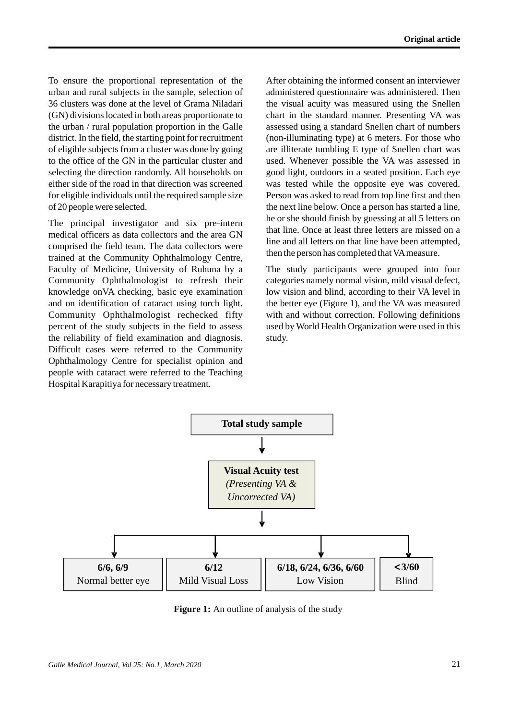To ensure the proportional representation of the urban and rural subjects in the sample, selection of 36 clusters was done at the level of Grama Niladari (GN) divisions located in both areas proportionate to the urban / rural population proportion in the Galle district. In the field, the starting point for recruitment of eligible subjects from a cluster was done by going to the office of the GN in the particular cluster and selecting the direction randomly. All households on either side of the road in that direction was screened for eligible individuals until the required sample size of 20 people were selected.

The principal investigator and six pre-intern medical officers as data collectors and the area GN comprised the field team. The data collectors were trained at the Community Ophthalmology Centre, Faculty of Medicine, University of Ruhuna by a Community Ophthalmologist to refresh their knowledge onVA checking, basic eye examination and on identification of cataract using torch light. Community Ophthalmologist rechecked fifty percent of the study subjects in the field to assess the reliability of field examination and diagnosis. Difficult cases were referred to the Community Ophthalmology Centre for specialist opinion and people with cataract were referred to the Teaching Hospital Karapitiya for necessary treatment.

After obtaining the informed consent an interviewer administered questionnaire was administered. Then the visual acuity was measured using the Snellen chart in the standard manner. Presenting VA was assessed using a standard Snellen chart of numbers (non-illuminating type) at 6 meters. For those who are illiterate tumbling E type of Snellen chart was used. Whenever possible the VA was assessed in good light, outdoors in a seated position. Each eye was tested while the opposite eye was covered. Person was asked to read from top line first and then the next line below. Once a person has started a line, he or she should finish by guessing at all 5 letters on that line. Once at least three letters are missed on a line and all letters on that line have been attempted, then the person has completed that VAmeasure.

The study participants were grouped into four categories namely normal vision, mild visual defect, low vision and blind, according to their VA level in the better eye (Figure 1), and the VA was measured with and without correction. Following definitions used by World Health Organization were used in this study.



**Figure 1:** An outline of analysis of the study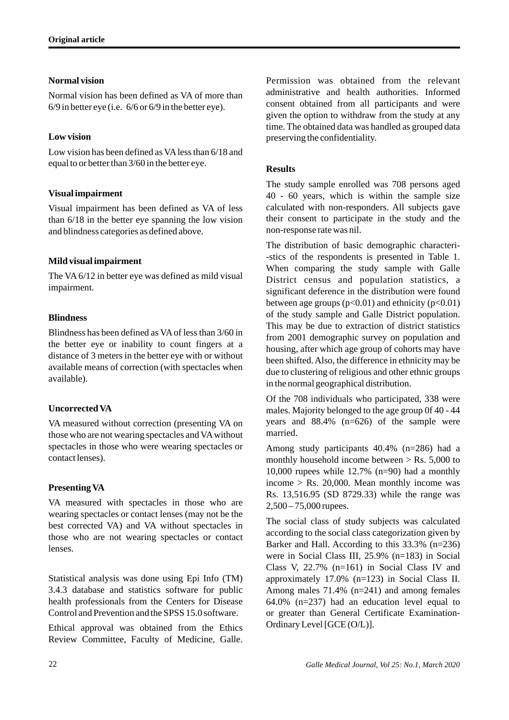# **Normal vision**

Normal vision has been defined as VA of more than 6/9 in better eye (i.e. 6/6 or 6/9 in the better eye).

# **Low vision**

Low vision has been defined as VAless than 6/18 and equal to or better than 3/60 in the better eye.

### **Visual impairment**

Visual impairment has been defined as VA of less than 6/18 in the better eye spanning the low vision and blindness categories as defined above.

# **Mild visual impairment**

The VA 6/12 in better eye was defined as mild visual impairment.

### **Blindness**

Blindness has been defined as VAof less than 3/60 in the better eye or inability to count fingers at a distance of 3 meters in the better eye with or without available means of correction (with spectacles when available).

# **Uncorrected VA**

VA measured without correction (presenting VA on those who are not wearing spectacles and VAwithout spectacles in those who were wearing spectacles or contact lenses).

# **Presenting VA**

VA measured with spectacles in those who are wearing spectacles or contact lenses (may not be the best corrected VA) and VA without spectacles in those who are not wearing spectacles or contact lenses.

Statistical analysis was done using Epi Info (TM) 3.4.3 database and statistics software for public health professionals from the Centers for Disease Control and Prevention and the SPSS 15.0 software.

Ethical approval was obtained from the Ethics Review Committee, Faculty of Medicine, Galle. Permission was obtained from the relevant administrative and health authorities. Informed consent obtained from all participants and were given the option to withdraw from the study at any time. The obtained data was handled as grouped data preserving the confidentiality.

# **Results**

The study sample enrolled was 708 persons aged 40 - 60 years, which is within the sample size calculated with non-responders. All subjects gave their consent to participate in the study and the non-response rate was nil.

The distribution of basic demographic characteri- -stics of the respondents is presented in Table 1. When comparing the study sample with Galle District census and population statistics, a significant deference in the distribution were found between age groups  $(p<0.01)$  and ethnicity  $(p<0.01)$ of the study sample and Galle District population. This may be due to extraction of district statistics from 2001 demographic survey on population and housing, after which age group of cohorts may have been shifted. Also, the difference in ethnicity may be due to clustering of religious and other ethnic groups in the normal geographical distribution.

Of the 708 individuals who participated, 338 were males. Majority belonged to the age group 0f 40 - 44 years and 88.4% (n=626) of the sample were married.

Among study participants 40.4% (n=286) had a monthly household income between  $>$  Rs. 5,000 to 10,000 rupees while 12.7% (n=90) had a monthly income  $>$  Rs. 20,000. Mean monthly income was Rs. 13,516.95 (SD 8729.33) while the range was 2,500 – 75,000 rupees.

The social class of study subjects was calculated according to the social class categorization given by Barker and Hall. According to this 33.3% (n=236) were in Social Class III, 25.9% (n=183) in Social Class V, 22.7% (n=161) in Social Class IV and approximately 17.0% (n=123) in Social Class II. Among males 71.4% (n=241) and among females 64.0% (n=237) had an education level equal to or greater than General Certificate Examination-Ordinary Level [GCE (O/L)].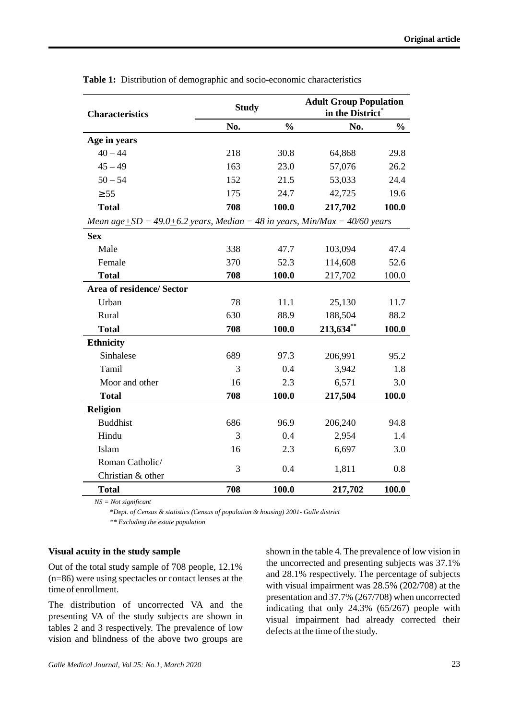| <b>Characteristics</b>                                                            | <b>Study</b> |               | <b>Adult Group Population</b><br>in the District* |               |  |  |  |
|-----------------------------------------------------------------------------------|--------------|---------------|---------------------------------------------------|---------------|--|--|--|
|                                                                                   | No.          | $\frac{0}{0}$ | No.                                               | $\frac{0}{0}$ |  |  |  |
| Age in years                                                                      |              |               |                                                   |               |  |  |  |
| $40 - 44$                                                                         | 218          | 30.8          | 64,868                                            | 29.8          |  |  |  |
| $45 - 49$                                                                         | 163          | 23.0          | 57,076                                            | 26.2          |  |  |  |
| $50 - 54$                                                                         | 152          | 21.5          | 53,033                                            | 24.4          |  |  |  |
| ± 55                                                                              | 175          | 24.7          | 42,725                                            | 19.6          |  |  |  |
| <b>Total</b>                                                                      | 708          | 100.0         | 217,702                                           | 100.0         |  |  |  |
| Mean age $\pm SD = 49.0 + 6.2$ years, Median = 48 in years, Min/Max = 40/60 years |              |               |                                                   |               |  |  |  |
| <b>Sex</b>                                                                        |              |               |                                                   |               |  |  |  |
| Male                                                                              | 338          | 47.7          | 103,094                                           | 47.4          |  |  |  |
| Female                                                                            | 370          | 52.3          | 114,608                                           | 52.6          |  |  |  |
| <b>Total</b>                                                                      | 708          | 100.0         | 217,702                                           | 100.0         |  |  |  |
| Area of residence/ Sector                                                         |              |               |                                                   |               |  |  |  |
| Urban                                                                             | 78           | 11.1          | 25,130                                            | 11.7          |  |  |  |
| Rural                                                                             | 630          | 88.9          | 188,504                                           | 88.2          |  |  |  |
| <b>Total</b>                                                                      | 708          | 100.0         | $213,634$ **                                      | 100.0         |  |  |  |
| <b>Ethnicity</b>                                                                  |              |               |                                                   |               |  |  |  |
| Sinhalese                                                                         | 689          | 97.3          | 206,991                                           | 95.2          |  |  |  |
| Tamil                                                                             | 3            | 0.4           | 3,942                                             | 1.8           |  |  |  |
| Moor and other                                                                    | 16           | 2.3           | 6,571                                             | 3.0           |  |  |  |
| <b>Total</b>                                                                      | 708          | 100.0         | 217,504                                           | 100.0         |  |  |  |
| <b>Religion</b>                                                                   |              |               |                                                   |               |  |  |  |
| <b>Buddhist</b>                                                                   | 686          | 96.9          | 206,240                                           | 94.8          |  |  |  |
| Hindu                                                                             | 3            | 0.4           | 2,954                                             | 1.4           |  |  |  |
| Islam                                                                             | 16           | 2.3           | 6,697                                             | 3.0           |  |  |  |
| Roman Catholic/                                                                   | 3            | 0.4           | 1,811                                             | 0.8           |  |  |  |
| Christian & other                                                                 |              |               |                                                   |               |  |  |  |
| <b>Total</b>                                                                      | 708          | 100.0         | 217,702                                           | 100.0         |  |  |  |

**Table 1:** Distribution of demographic and socio-economic characteristics

*NS = Not significant*

\**Dept. of Census & statistics (Census of population & housing) 2001- Galle district*

 *\*\* Excluding the estate population*

#### **Visual acuity in the study sample**

Out of the total study sample of 708 people, 12.1% (n=86) were using spectacles or contact lenses at the time of enrollment.

The distribution of uncorrected VA and the presenting VA of the study subjects are shown in tables 2 and 3 respectively. The prevalence of low vision and blindness of the above two groups are shown in the table 4. The prevalence of low vision in the uncorrected and presenting subjects was 37.1% and 28.1% respectively. The percentage of subjects with visual impairment was 28.5% (202/708) at the presentation and 37.7% (267/708) when uncorrected indicating that only 24.3% (65/267) people with visual impairment had already corrected their defects at the time of the study.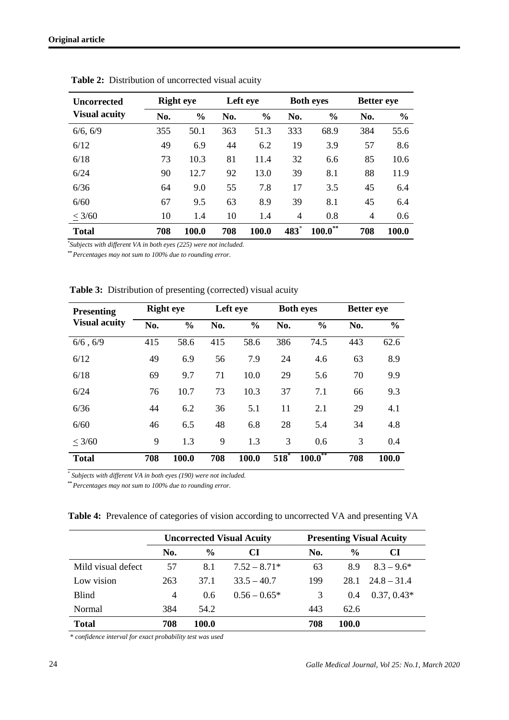| Uncorrected          |     | <b>Right</b> eye |     | Left eye      |                | <b>Both eyes</b> |     | <b>Better eye</b> |  |
|----------------------|-----|------------------|-----|---------------|----------------|------------------|-----|-------------------|--|
| <b>Visual acuity</b> | No. | $\frac{0}{0}$    | No. | $\frac{0}{0}$ | No.            | $\frac{0}{0}$    | No. | $\frac{0}{0}$     |  |
| 6/6, 6/9             | 355 | 50.1             | 363 | 51.3          | 333            | 68.9             | 384 | 55.6              |  |
| 6/12                 | 49  | 6.9              | 44  | 6.2           | 19             | 3.9              | 57  | 8.6               |  |
| 6/18                 | 73  | 10.3             | 81  | 11.4          | 32             | 6.6              | 85  | 10.6              |  |
| 6/24                 | 90  | 12.7             | 92  | 13.0          | 39             | 8.1              | 88  | 11.9              |  |
| 6/36                 | 64  | 9.0              | 55  | 7.8           | 17             | 3.5              | 45  | 6.4               |  |
| 6/60                 | 67  | 9.5              | 63  | 8.9           | 39             | 8.1              | 45  | 6.4               |  |
| < 3/60               | 10  | 1.4              | 10  | 1.4           | $\overline{4}$ | 0.8              | 4   | 0.6               |  |
| <b>Total</b>         | 708 | 100.0            | 708 | 100.0         | 483            | $100.0^{**}$     | 708 | 100.0             |  |

Table 2: Distribution of uncorrected visual acuity

*\* Subjects with different VA in both eyes (225) were not included.*

*\*\* Percentages may not sum to 100% due to rounding error.*

| <b>Presenting</b><br><b>Visual acuity</b> | <b>Right</b> eye |               | Left eye |               | <b>Both eyes</b> |               | <b>Better</b> eye |               |
|-------------------------------------------|------------------|---------------|----------|---------------|------------------|---------------|-------------------|---------------|
|                                           | No.              | $\frac{0}{0}$ | No.      | $\frac{0}{0}$ | No.              | $\frac{0}{0}$ | No.               | $\frac{0}{0}$ |
| $6/6$ , $6/9$                             | 415              | 58.6          | 415      | 58.6          | 386              | 74.5          | 443               | 62.6          |
| 6/12                                      | 49               | 6.9           | 56       | 7.9           | 24               | 4.6           | 63                | 8.9           |
| 6/18                                      | 69               | 9.7           | 71       | 10.0          | 29               | 5.6           | 70                | 9.9           |
| 6/24                                      | 76               | 10.7          | 73       | 10.3          | 37               | 7.1           | 66                | 9.3           |
| 6/36                                      | 44               | 6.2           | 36       | 5.1           | 11               | 2.1           | 29                | 4.1           |
| 6/60                                      | 46               | 6.5           | 48       | 6.8           | 28               | 5.4           | 34                | 4.8           |
| < 3/60                                    | 9                | 1.3           | 9        | 1.3           | 3                | 0.6           | 3                 | 0.4           |
| <b>Total</b>                              | 708              | 100.0         | 708      | 100.0         | 518              | $100.0^{**}$  | 708               | 100.0         |

Table 3: Distribution of presenting (corrected) visual acuity

*\* Subjects with different VA in both eyes (190) were not included.*

*\*\* Percentages may not sum to 100% due to rounding error.*

**Table 4:** Prevalence of categories of vision according to uncorrected VA and presenting VA

|                    | <b>Uncorrected Visual Acuity</b> |               |                | <b>Presenting Visual Acuity</b> |               |                          |  |
|--------------------|----------------------------------|---------------|----------------|---------------------------------|---------------|--------------------------|--|
|                    | No.                              | $\frac{0}{0}$ | CI             | No.                             | $\frac{0}{0}$ | CI                       |  |
| Mild visual defect | 57                               | 8.1           | $7.52 - 8.71*$ | 63                              | 8.9           | $8.3 - 9.6*$             |  |
| Low vision         | 263                              | 37.1          | $33.5 - 40.7$  | 199                             |               | $28.1 \quad 24.8 - 31.4$ |  |
| <b>Blind</b>       | $\overline{4}$                   | 0.6           | $0.56 - 0.65*$ | 3                               | 0.4           | $0.37, 0.43*$            |  |
| Normal             | 384                              | 54.2          |                | 443                             | 62.6          |                          |  |
| <b>Total</b>       | 708                              | 100.0         |                | 708                             | 100.0         |                          |  |

 *\* confidence interval for exact probability test was used*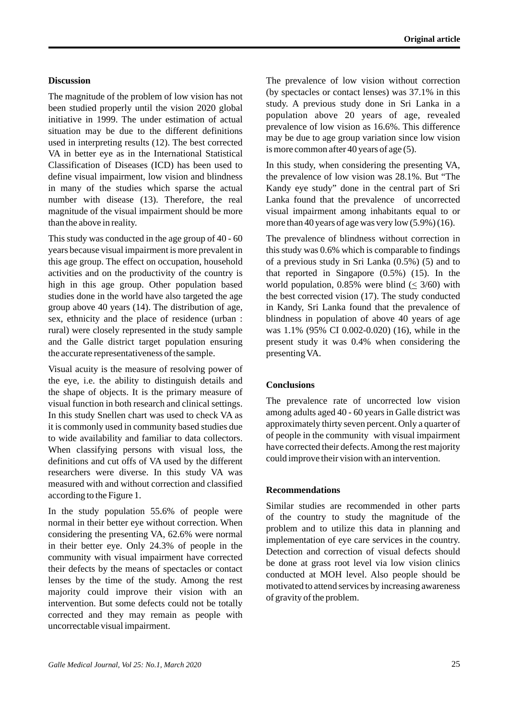#### **Discussion**

The magnitude of the problem of low vision has not been studied properly until the vision 2020 global initiative in 1999. The under estimation of actual situation may be due to the different definitions used in interpreting results (12). The best corrected VA in better eye as in the International Statistical Classification of Diseases (ICD) has been used to define visual impairment, low vision and blindness in many of the studies which sparse the actual number with disease (13). Therefore, the real magnitude of the visual impairment should be more than the above in reality.

This study was conducted in the age group of 40 - 60 years because visual impairment is more prevalent in this age group. The effect on occupation, household activities and on the productivity of the country is high in this age group. Other population based studies done in the world have also targeted the age group above 40 years (14). The distribution of age, sex, ethnicity and the place of residence (urban : rural) were closely represented in the study sample and the Galle district target population ensuring the accurate representativeness of the sample.

Visual acuity is the measure of resolving power of the eye, i.e. the ability to distinguish details and the shape of objects. It is the primary measure of visual function in both research and clinical settings. In this study Snellen chart was used to check VA as it is commonly used in community based studies due to wide availability and familiar to data collectors. When classifying persons with visual loss, the definitions and cut offs of VA used by the different researchers were diverse. In this study VA was measured with and without correction and classified according to the Figure 1.

In the study population 55.6% of people were normal in their better eye without correction. When considering the presenting VA, 62.6% were normal in their better eye. Only 24.3% of people in the community with visual impairment have corrected their defects by the means of spectacles or contact lenses by the time of the study. Among the rest majority could improve their vision with an intervention. But some defects could not be totally corrected and they may remain as people with uncorrectable visual impairment.

The prevalence of low vision without correction (by spectacles or contact lenses) was 37.1% in this study. A previous study done in Sri Lanka in a population above 20 years of age, revealed prevalence of low vision as 16.6%. This difference may be due to age group variation since low vision is more common after 40 years of age (5).

In this study, when considering the presenting VA, the prevalence of low vision was 28.1%. But "The Kandy eye study" done in the central part of Sri Lanka found that the prevalence of uncorrected visual impairment among inhabitants equal to or more than 40 years of age was very low (5.9%) (16).

The prevalence of blindness without correction in this study was 0.6% which is comparable to findings of a previous study in Sri Lanka (0.5%) (5) and to that reported in Singapore (0.5%) (15). In the world population, 0.85% were blind  $( \leq 3/60)$  with the best corrected vision (17). The study conducted in Kandy, Sri Lanka found that the prevalence of blindness in population of above 40 years of age was 1.1% (95% CI 0.002-0.020) (16), while in the present study it was 0.4% when considering the presenting VA.

#### **Conclusions**

The prevalence rate of uncorrected low vision among adults aged 40 - 60 years in Galle district was approximately thirty seven percent. Only a quarter of of people in the community with visual impairment have corrected their defects. Among the rest majority could improve their vision with an intervention.

#### **Recommendations**

Similar studies are recommended in other parts of the country to study the magnitude of the problem and to utilize this data in planning and implementation of eye care services in the country. Detection and correction of visual defects should be done at grass root level via low vision clinics conducted at MOH level. Also people should be motivated to attend services by increasing awareness of gravity of the problem.